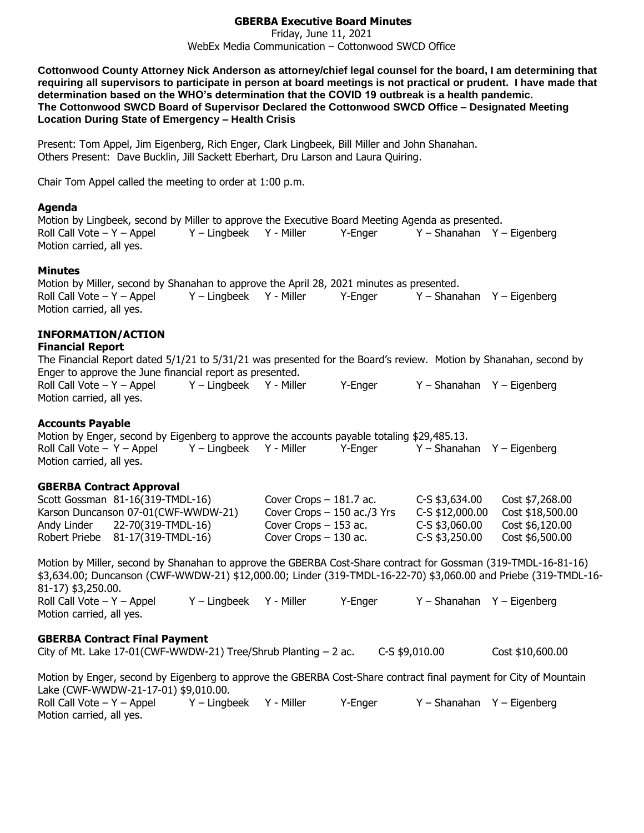### **GBERBA Executive Board Minutes**

Friday, June 11, 2021 WebEx Media Communication – Cottonwood SWCD Office

**Cottonwood County Attorney Nick Anderson as attorney/chief legal counsel for the board, I am determining that requiring all supervisors to participate in person at board meetings is not practical or prudent. I have made that determination based on the WHO's determination that the COVID 19 outbreak is a health pandemic. The Cottonwood SWCD Board of Supervisor Declared the Cottonwood SWCD Office – Designated Meeting Location During State of Emergency – Health Crisis**

Present: Tom Appel, Jim Eigenberg, Rich Enger, Clark Lingbeek, Bill Miller and John Shanahan. Others Present: Dave Bucklin, Jill Sackett Eberhart, Dru Larson and Laura Quiring.

Chair Tom Appel called the meeting to order at 1:00 p.m.

#### **Agenda**

Motion by Lingbeek, second by Miller to approve the Executive Board Meeting Agenda as presented. Roll Call Vote – Y – Appel Y – Lingbeek Y - Miller Y-Enger Y – Shanahan Y – Eigenberg Motion carried, all yes.

#### **Minutes**

Motion by Miller, second by Shanahan to approve the April 28, 2021 minutes as presented. Roll Call Vote – Y – Appel Y – Lingbeek Y - Miller Y-Enger Y – Shanahan Y – Eigenberg Motion carried, all yes.

# **INFORMATION/ACTION**

#### **Financial Report**

The Financial Report dated 5/1/21 to 5/31/21 was presented for the Board's review. Motion by Shanahan, second by Enger to approve the June financial report as presented. Roll Call Vote – Y – Appel Y – Lingbeek Y - Miller Y-Enger Y – Shanahan Y – Eigenberg Motion carried, all yes.

# **Accounts Payable**

Motion by Enger, second by Eigenberg to approve the accounts payable totaling \$29,485.13. Roll Call Vote – Y – Appel Y – Lingbeek Y - Miller Y-Enger Y – Shanahan Y – Eigenberg Motion carried, all yes.

# **GBERBA Contract Approval**

|             | Scott Gossman 81-16(319-TMDL-16)    | Cover Crops $-181.7$ ac.     | $C-S$ \$3,634.00 | Cost \$7,268.00  |
|-------------|-------------------------------------|------------------------------|------------------|------------------|
|             | Karson Duncanson 07-01(CWF-WWDW-21) | Cover Crops $-150$ ac./3 Yrs | C-S \$12,000,00  | Cost \$18,500.00 |
| Andy Linder | 22-70(319-TMDL-16)                  | Cover Crops $-153$ ac.       | C-S \$3,060.00   | Cost \$6,120.00  |
|             | Robert Priebe 81-17(319-TMDL-16)    | Cover Crops $-130$ ac.       | C-S \$3,250,00   | Cost \$6,500.00  |

Motion by Miller, second by Shanahan to approve the GBERBA Cost-Share contract for Gossman (319-TMDL-16-81-16) \$3,634.00; Duncanson (CWF-WWDW-21) \$12,000.00; Linder (319-TMDL-16-22-70) \$3,060.00 and Priebe (319-TMDL-16- 81-17) \$3,250.00. Roll Call Vote – Y – Appel Y – Lingbeek Y - Miller Y - Enger Y – Shanahan Y – Eigenberg Motion carried, all yes.

#### **GBERBA Contract Final Payment**

City of Mt. Lake 17-01(CWF-WWDW-21) Tree/Shrub Planting – 2 ac. C-S \$9,010.00 Cost \$10,600.00

Motion by Enger, second by Eigenberg to approve the GBERBA Cost-Share contract final payment for City of Mountain Lake (CWF-WWDW-21-17-01) \$9,010.00. Roll Call Vote – Y – Appel Y – Lingbeek Y - Miller Y-Enger Y – Shanahan Y – Eigenberg Motion carried, all yes.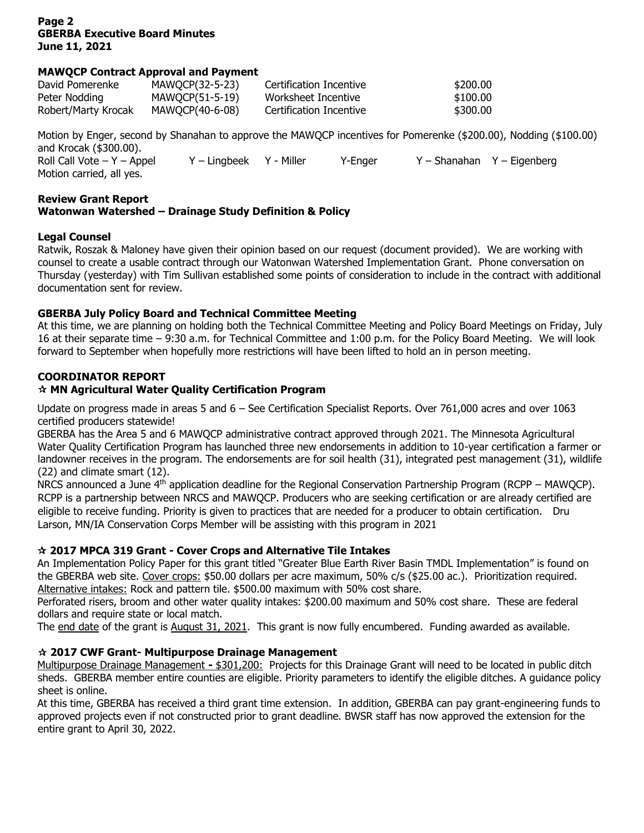# **Page 2 GBERBA Executive Board Minutes June 11, 2021**

# **MAWQCP Contract Approval and Payment**

| David Pomerenke     | MAWOCP(32-5-23) | Certification Incentive | \$200.00 |
|---------------------|-----------------|-------------------------|----------|
| Peter Nodding       | MAWOCP(51-5-19) | Worksheet Incentive     | \$100.00 |
| Robert/Marty Krocak | MAWOCP(40-6-08) | Certification Incentive | \$300.00 |

Motion by Enger, second by Shanahan to approve the MAWQCP incentives for Pomerenke (\$200.00), Nodding (\$100.00) and Krocak (\$300.00). Roll Call Vote – Y – Appel Y – Lingbeek Y - Miller Y-Enger Y – Shanahan Y – Eigenberg Motion carried, all yes.

#### **Review Grant Report Watonwan Watershed – Drainage Study Definition & Policy**

# **Legal Counsel**

Ratwik, Roszak & Maloney have given their opinion based on our request (document provided). We are working with counsel to create a usable contract through our Watonwan Watershed Implementation Grant. Phone conversation on Thursday (yesterday) with Tim Sullivan established some points of consideration to include in the contract with additional documentation sent for review.

# **GBERBA July Policy Board and Technical Committee Meeting**

At this time, we are planning on holding both the Technical Committee Meeting and Policy Board Meetings on Friday, July 16 at their separate time – 9:30 a.m. for Technical Committee and 1:00 p.m. for the Policy Board Meeting. We will look forward to September when hopefully more restrictions will have been lifted to hold an in person meeting.

#### **COORDINATOR REPORT**

# **MN Agricultural Water Quality Certification Program**

Update on progress made in areas 5 and 6 – See Certification Specialist Reports. Over 761,000 acres and over 1063 certified producers statewide!

GBERBA has the Area 5 and 6 MAWQCP administrative contract approved through 2021. The Minnesota Agricultural Water Quality Certification Program has launched three new endorsements in addition to 10-year certification a farmer or landowner receives in the program. The endorsements are for soil health (31), integrated pest management (31), wildlife (22) and climate smart (12).

NRCS announced a June 4<sup>th</sup> application deadline for the Regional Conservation Partnership Program (RCPP – MAWQCP). RCPP is a partnership between NRCS and MAWQCP. Producers who are seeking certification or are already certified are eligible to receive funding. Priority is given to practices that are needed for a producer to obtain certification. Dru Larson, MN/IA Conservation Corps Member will be assisting with this program in 2021

# **2017 MPCA 319 Grant - Cover Crops and Alternative Tile Intakes**

An Implementation Policy Paper for this grant titled "Greater Blue Earth River Basin TMDL Implementation" is found on the GBERBA web site. Cover crops: \$50.00 dollars per acre maximum, 50% c/s (\$25.00 ac.). Prioritization required. Alternative intakes: Rock and pattern tile. \$500.00 maximum with 50% cost share.

Perforated risers, broom and other water quality intakes: \$200.00 maximum and 50% cost share. These are federal dollars and require state or local match.

The end date of the grant is August 31, 2021. This grant is now fully encumbered. Funding awarded as available.

# **2017 CWF Grant- Multipurpose Drainage Management**

Multipurpose Drainage Management **-** \$301,200: Projects for this Drainage Grant will need to be located in public ditch sheds. GBERBA member entire counties are eligible. Priority parameters to identify the eligible ditches. A guidance policy sheet is online.

At this time, GBERBA has received a third grant time extension. In addition, GBERBA can pay grant-engineering funds to approved projects even if not constructed prior to grant deadline. BWSR staff has now approved the extension for the entire grant to April 30, 2022.